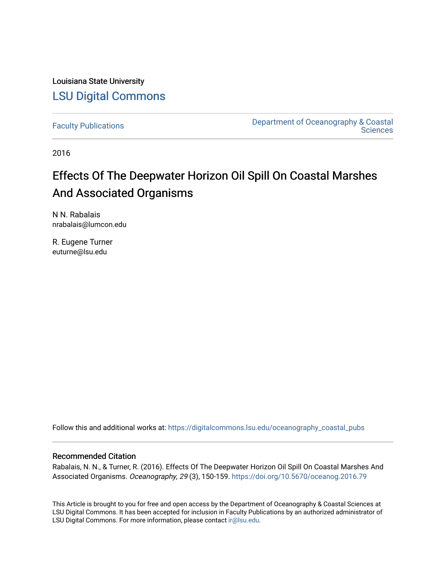Louisiana State University [LSU Digital Commons](https://digitalcommons.lsu.edu/)

[Faculty Publications](https://digitalcommons.lsu.edu/oceanography_coastal_pubs) [Department of Oceanography & Coastal](https://digitalcommons.lsu.edu/oceanography_coastal)  **Sciences** 

2016

## Effects Of The Deepwater Horizon Oil Spill On Coastal Marshes And Associated Organisms

N N. Rabalais nrabalais@lumcon.edu

R. Eugene Turner euturne@lsu.edu

Follow this and additional works at: [https://digitalcommons.lsu.edu/oceanography\\_coastal\\_pubs](https://digitalcommons.lsu.edu/oceanography_coastal_pubs?utm_source=digitalcommons.lsu.edu%2Foceanography_coastal_pubs%2F66&utm_medium=PDF&utm_campaign=PDFCoverPages) 

## Recommended Citation

Rabalais, N. N., & Turner, R. (2016). Effects Of The Deepwater Horizon Oil Spill On Coastal Marshes And Associated Organisms. Oceanography, 29 (3), 150-159.<https://doi.org/10.5670/oceanog.2016.79>

This Article is brought to you for free and open access by the Department of Oceanography & Coastal Sciences at LSU Digital Commons. It has been accepted for inclusion in Faculty Publications by an authorized administrator of LSU Digital Commons. For more information, please contact [ir@lsu.edu.](mailto:ir@lsu.edu)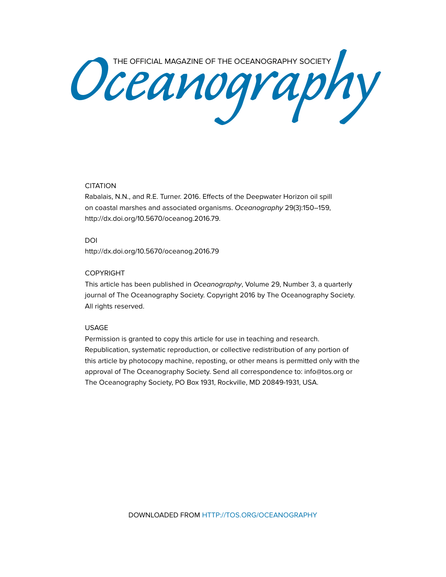Oceanography SOCIETY

## **CITATION**

Rabalais, N.N., and R.E. Turner. 2016. Effects of the Deepwater Horizon oil spill on coastal marshes and associated organisms. *Oceanography* 29(3):150–159, [http://dx.doi.org/10.5670/oceanog.2016.79.](http://dx.doi.org/10.5670/oceanog.2016.79)

## DOI

<http://dx.doi.org/10.5670/oceanog.2016.79>

### COPYRIGHT

This article has been published in *Oceanography*, Volume 29, Number 3, a quarterly journal of The Oceanography Society. Copyright 2016 by The Oceanography Society. All rights reserved.

#### USAGE

Permission is granted to copy this article for use in teaching and research. Republication, systematic reproduction, or collective redistribution of any portion of this article by photocopy machine, reposting, or other means is permitted only with the approval of The Oceanography Society. Send all correspondence to: [info@tos.org](mailto:info@tos.org) or The Oceanography Society, PO Box 1931, Rockville, MD 20849-1931, USA.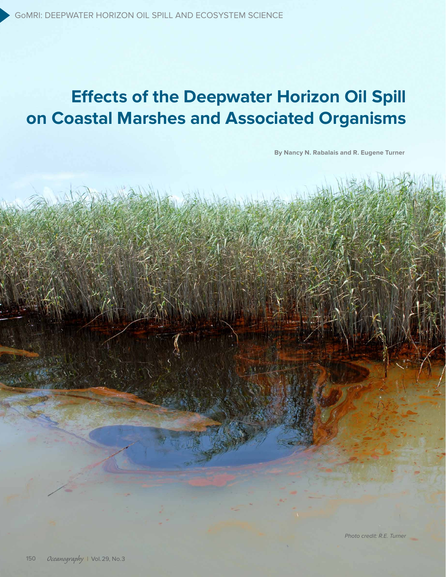# **Effects of the Deepwater Horizon Oil Spill on Coastal Marshes and Associated Organisms**

**By Nancy N. Rabalais and R. Eugene Turner**

*Photo credit: R.E. Turner*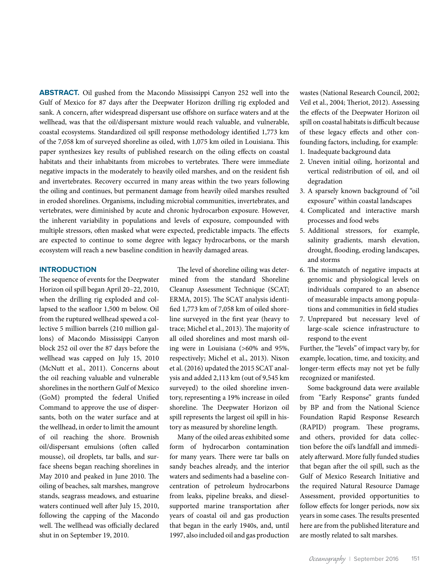**ABSTRACT.** Oil gushed from the Macondo Mississippi Canyon 252 well into the Gulf of Mexico for 87 days after the Deepwater Horizon drilling rig exploded and sank. A concern, after widespread dispersant use offshore on surface waters and at the wellhead, was that the oil/dispersant mixture would reach valuable, and vulnerable, coastal ecosystems. Standardized oil spill response methodology identified 1,773 km of the 7,058 km of surveyed shoreline as oiled, with 1,075 km oiled in Louisiana. This paper synthesizes key results of published research on the oiling effects on coastal habitats and their inhabitants from microbes to vertebrates. There were immediate negative impacts in the moderately to heavily oiled marshes, and on the resident fish and invertebrates. Recovery occurred in many areas within the two years following the oiling and continues, but permanent damage from heavily oiled marshes resulted in eroded shorelines. Organisms, including microbial communities, invertebrates, and vertebrates, were diminished by acute and chronic hydrocarbon exposure. However, the inherent variability in populations and levels of exposure, compounded with multiple stressors, often masked what were expected, predictable impacts. The effects are expected to continue to some degree with legacy hydrocarbons, or the marsh ecosystem will reach a new baseline condition in heavily damaged areas.

#### **INTRODUCTION**

The sequence of events for the Deepwater Horizon oil spill began April 20–22, 2010, when the drilling rig exploded and collapsed to the seafloor 1,500 m below. Oil from the ruptured wellhead spewed a collective 5 million barrels (210 million gallons) of Macondo Mississippi Canyon block 252 oil over the 87 days before the wellhead was capped on July 15, 2010 (McNutt et al., 2011). Concerns about the oil reaching valuable and vulnerable shorelines in the northern Gulf of Mexico (GoM) prompted the federal Unified Command to approve the use of dispersants, both on the water surface and at the wellhead, in order to limit the amount of oil reaching the shore. Brownish oil/dispersant emulsions (often called mousse), oil droplets, tar balls, and surface sheens began reaching shorelines in May 2010 and peaked in June 2010. The oiling of beaches, salt marshes, mangrove stands, seagrass meadows, and estuarine waters continued well after July 15, 2010, following the capping of the Macondo well. The wellhead was officially declared shut in on September 19, 2010.

The level of shoreline oiling was determined from the standard Shoreline Cleanup Assessment Technique (SCAT; ERMA, 2015). The SCAT analysis identified 1,773 km of 7,058 km of oiled shoreline surveyed in the first year (heavy to trace; Michel et al., 2013). The majority of all oiled shorelines and most marsh oiling were in Louisiana (>60% and 95%, respectively; Michel et al., 2013). Nixon et al. (2016) updated the 2015 SCAT analysis and added 2,113 km (out of 9,545 km surveyed) to the oiled shoreline inventory, representing a 19% increase in oiled shoreline. The Deepwater Horizon oil spill represents the largest oil spill in history as measured by shoreline length.

Many of the oiled areas exhibited some form of hydrocarbon contamination for many years. There were tar balls on sandy beaches already, and the interior waters and sediments had a baseline concentration of petroleum hydrocarbons from leaks, pipeline breaks, and dieselsupported marine transportation after years of coastal oil and gas production that began in the early 1940s, and, until 1997, also included oil and gas production wastes (National Research Council, 2002; Veil et al., 2004; Theriot, 2012). Assessing the effects of the Deepwater Horizon oil spill on coastal habitats is difficult because of these legacy effects and other confounding factors, including, for example:

- 1. Inadequate background data
- 2. Uneven initial oiling, horizontal and vertical redistribution of oil, and oil degradation
- 3. A sparsely known background of "oil exposure" within coastal landscapes
- 4. Complicated and interactive marsh processes and food webs
- 5. Additional stressors, for example, salinity gradients, marsh elevation, drought, flooding, eroding landscapes, and storms
- 6. The mismatch of negative impacts at genomic and physiological levels on individuals compared to an absence of measurable impacts among populations and communities in field studies
- 7. Unprepared but necessary level of large-scale science infrastructure to respond to the event

Further, the "levels" of impact vary by, for example, location, time, and toxicity, and longer-term effects may not yet be fully recognized or manifested.

Some background data were available from "Early Response" grants funded by BP and from the National Science Foundation Rapid Response Research (RAPID) program. These programs, and others, provided for data collection before the oil's landfall and immediately afterward. More fully funded studies that began after the oil spill, such as the Gulf of Mexico Research Initiative and the required Natural Resource Damage Assessment, provided opportunities to follow effects for longer periods, now six years in some cases. The results presented here are from the published literature and are mostly related to salt marshes.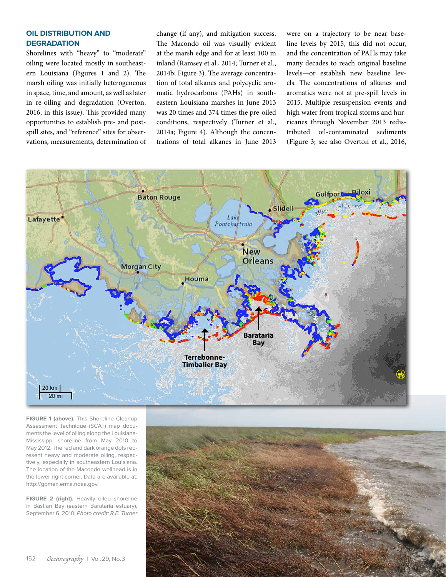## **OIL DISTRIBUTION AND DEGRADATION**

Shorelines with "heavy" to "moderate" oiling were located mostly in southeastern Louisiana (Figures 1 and 2). The marsh oiling was initially heterogeneous in space, time, and amount, as well as later in re-oiling and degradation (Overton, 2016, in this issue). This provided many opportunities to establish pre- and postspill sites, and "reference" sites for observations, measurements, determination of

change (if any), and mitigation success. The Macondo oil was visually evident at the marsh edge and for at least 100 m inland (Ramsey et al., 2014; Turner et al., 2014b; Figure 3). The average concentration of total alkanes and polycyclic aromatic hydrocarbons (PAHs) in southeastern Louisiana marshes in June 2013 was 20 times and 374 times the pre-oiled conditions, respectively (Turner et al., 2014a; Figure 4). Although the concentrations of total alkanes in June 2013

were on a trajectory to be near baseline levels by 2015, this did not occur, and the concentration of PAHs may take many decades to reach original baseline levels—or establish new baseline levels. The concentrations of alkanes and aromatics were not at pre-spill levels in 2015. Multiple resuspension events and high water from tropical storms and hurricanes through November 2013 redistributed oil-contaminated sediments (Figure 3; see also Overton et al., 2016,



**FIGURE 1 (above).** This Shoreline Cleanup Assessment Technique (SCAT) map documents the level of oiling along the Louisiana-Mississippi shoreline from May 2010 to May 2012. The red and dark orange dots represent heavy and moderate oiling, respectively, especially in southeastern Louisiana. The location of the Macondo wellhead is in the lower right corner. Data are available at: [http://gomex.erma.noaa.gov](http://gomex.erma.noaa.gov/).

**FIGURE 2 (right).** Heavily oiled shoreline in Bastian Bay (eastern Barataria estuary), September 6, 2010. *Photo credit: R.E. Turner*

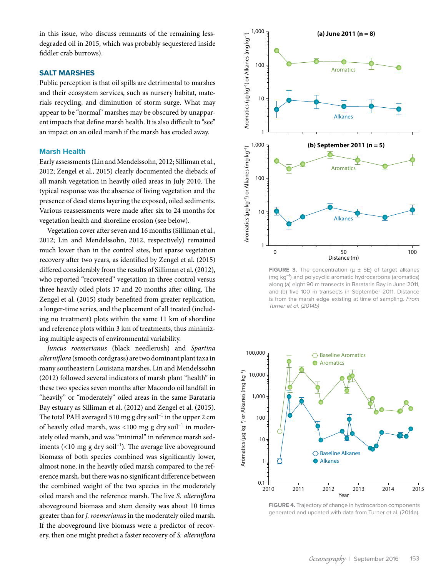in this issue, who discuss remnants of the remaining lessdegraded oil in 2015, which was probably sequestered inside fiddler crab burrows).

### **SALT MARSHES**

Public perception is that oil spills are detrimental to marshes and their ecosystem services, such as nursery habitat, materials recycling, and diminution of storm surge. What may appear to be "normal" marshes may be obscured by unapparent impacts that define marsh health. It is also difficult to "see" an impact on an oiled marsh if the marsh has eroded away.

#### **Marsh Health**

Early assessments (Lin and Mendelssohn, 2012; Silliman et al., 2012; Zengel et al., 2015) clearly documented the dieback of all marsh vegetation in heavily oiled areas in July 2010. The typical response was the absence of living vegetation and the presence of dead stems layering the exposed, oiled sediments. Various reassessments were made after six to 24 months for vegetation health and shoreline erosion (see below).

Vegetation cover after seven and 16 months (Silliman et al., 2012; Lin and Mendelssohn, 2012, respectively) remained much lower than in the control sites, but sparse vegetation recovery after two years, as identified by Zengel et al. (2015) differed considerably from the results of Silliman et al. (2012), who reported "recovered" vegetation in three control versus three heavily oiled plots 17 and 20 months after oiling. The Zengel et al. (2015) study benefited from greater replication, a longer-time series, and the placement of all treated (including no treatment) plots within the same 11 km of shoreline and reference plots within 3 km of treatments, thus minimizing multiple aspects of environmental variability.

*Juncus roemerianus* (black needlerush) and *Spartina alterniflora* (smooth cordgrass) are two dominant plant taxa in many southeastern Louisiana marshes. Lin and Mendelssohn (2012) followed several indicators of marsh plant "health" in these two species seven months after Macondo oil landfall in "heavily" or "moderately" oiled areas in the same Barataria Bay estuary as Silliman et al. (2012) and Zengel et al. (2015). The total PAH averaged 510 mg g dry soil<sup>-1</sup> in the upper 2 cm of heavily oiled marsh, was <100 mg g dry soil<sup>-1</sup> in moderately oiled marsh, and was "minimal" in reference marsh sediments (<10 mg g dry soil<sup>-1</sup>). The average live aboveground biomass of both species combined was significantly lower, almost none, in the heavily oiled marsh compared to the reference marsh, but there was no significant difference between the combined weight of the two species in the moderately oiled marsh and the reference marsh. The live *S. alterniflora* aboveground biomass and stem density was about 10 times greater than for *J. roemerianus* in the moderately oiled marsh. If the aboveground live biomass were a predictor of recovery, then one might predict a faster recovery of *S. alterniflora*



**FIGURE 3.** The concentration ( $\mu \pm SE$ ) of target alkanes (mg kg–1) and polycyclic aromatic hydrocarbons (aromatics) along (a) eight 90 m transects in Barataria Bay in June 2011, and (b) five 100 m transects in September 2011. Distance is from the marsh edge existing at time of sampling. *From Turner et al. (2014b)*



**FIGURE 4.** Trajectory of change in hydrocarbon components generated and updated with data from Turner et al. (2014a).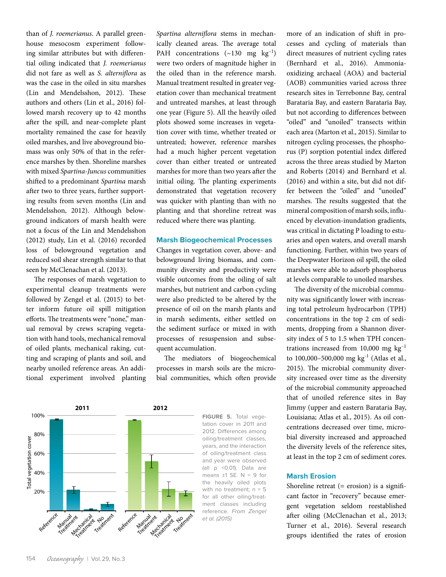than of *J. roemerianus*. A parallel greenhouse mesocosm experiment following similar attributes but with differential oiling indicated that *J. roemerianus* did not fare as well as *S. alterniflora* as was the case in the oiled in situ marshes (Lin and Mendelsshon, 2012). These authors and others (Lin et al., 2016) followed marsh recovery up to 42 months after the spill, and near-complete plant mortality remained the case for heavily oiled marshes, and live aboveground biomass was only 50% of that in the reference marshes by then. Shoreline marshes with mixed *Spartina-Juncus* communities shifted to a predominant *Spartina* marsh after two to three years, further supporting results from seven months (Lin and Mendelsshon, 2012). Although belowground indicators of marsh health were not a focus of the Lin and Mendelsshon (2012) study, Lin et al. (2016) recorded loss of belowground vegetation and reduced soil shear strength similar to that seen by McClenachan et al. (2013).

The responses of marsh vegetation to experimental cleanup treatments were followed by Zengel et al. (2015) to better inform future oil spill mitigation efforts. The treatments were "none," manual removal by crews scraping vegetation with hand tools, mechanical removal of oiled plants, mechanical raking, cutting and scraping of plants and soil, and nearby unoiled reference areas. An additional experiment involved planting *Spartina alterniflora* stems in mechanically cleaned areas. The average total PAH concentrations  $(\sim 130 \text{ mg kg}^{-1})$ were two orders of magnitude higher in the oiled than in the reference marsh. Manual treatment resulted in greater vegetation cover than mechanical treatment and untreated marshes, at least through one year (Figure 5). All the heavily oiled plots showed some increases in vegetation cover with time, whether treated or untreated; however, reference marshes had a much higher percent vegetation cover than either treated or untreated marshes for more than two years after the initial oiling. The planting experiments demonstrated that vegetation recovery was quicker with planting than with no planting and that shoreline retreat was reduced where there was planting.

#### **Marsh Biogeochemical Processes**

Changes in vegetation cover, above- and belowground living biomass, and community diversity and productivity were visible outcomes from the oiling of salt marshes, but nutrient and carbon cycling were also predicted to be altered by the presence of oil on the marsh plants and in marsh sediments, either settled on the sediment surface or mixed in with processes of resuspension and subsequent accumulation.

The mediators of biogeochemical processes in marsh soils are the microbial communities, which often provide



more of an indication of shift in processes and cycling of materials than direct measures of nutrient cycling rates (Bernhard et al., 2016). Ammoniaoxidizing archaeal (AOA) and bacterial (AOB) communities varied across three research sites in Terrebonne Bay, central Barataria Bay, and eastern Barataria Bay, but not according to differences between "oiled" and "unoiled" transects within each area (Marton et al., 2015). Similar to nitrogen cycling processes, the phosphorus (P) sorption potential index differed across the three areas studied by Marton and Roberts (2014) and Bernhard et al. (2016) and within a site, but did not differ between the "oiled" and "unoiled" marshes. The results suggested that the mineral composition of marsh soils, influenced by elevation-inundation gradients, was critical in dictating P loading to estuaries and open waters, and overall marsh functioning. Further, within two years of the Deepwater Horizon oil spill, the oiled marshes were able to adsorb phosphorus at levels comparable to unoiled marshes.

The diversity of the microbial community was significantly lower with increasing total petroleum hydrocarbon (TPH) concentrations in the top 2 cm of sediments, dropping from a Shannon diversity index of 5 to 1.5 when TPH concentrations increased from 10,000 mg  $kg^{-1}$ to 100,000–500,000 mg  $kg^{-1}$  (Atlas et al., 2015). The microbial community diversity increased over time as the diversity of the microbial community approached that of unoiled reference sites in Bay Jimmy (upper and eastern Barataria Bay, Louisiana; Atlas et al., 2015). As oil concentrations decreased over time, microbial diversity increased and approached the diversity levels of the reference sites, at least in the top 2 cm of sediment cores.

#### **Marsh Erosion**

Shoreline retreat  $(=$  erosion) is a significant factor in "recovery" because emergent vegetation seldom reestablished after oiling (McClenachan et al., 2013; Turner et al., 2016). Several research groups identified the rates of erosion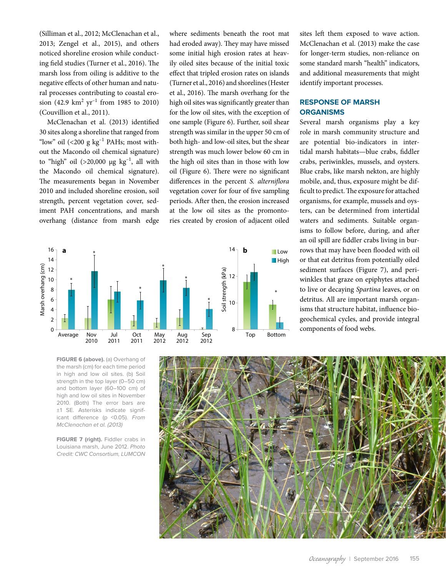(Silliman et al., 2012; McClenachan et al., 2013; Zengel et al., 2015), and others noticed shoreline erosion while conducting field studies (Turner et al., 2016). The marsh loss from oiling is additive to the negative effects of other human and natural processes contributing to coastal erosion (42.9  $\rm km^2 \ yr^{-1}$  from 1985 to 2010) (Couvillion et al., 2011).

McClenachan et al. (2013) identified 30 sites along a shoreline that ranged from "low" oil  $\left($  <200 g kg<sup>-1</sup> PAHs; most without the Macondo oil chemical signature) to "high" oil  $(>20,000 \mu g kg^{-1})$ , all with the Macondo oil chemical signature). The measurements began in November 2010 and included shoreline erosion, soil strength, percent vegetation cover, sediment PAH concentrations, and marsh overhang (distance from marsh edge where sediments beneath the root mat had eroded away). They may have missed some initial high erosion rates at heavily oiled sites because of the initial toxic effect that tripled erosion rates on islands (Turner et al., 2016) and shorelines (Hester et al., 2016). The marsh overhang for the high oil sites was significantly greater than for the low oil sites, with the exception of one sample (Figure 6). Further, soil shear strength was similar in the upper 50 cm of both high- and low-oil sites, but the shear strength was much lower below 60 cm in the high oil sites than in those with low oil (Figure 6). There were no significant differences in the percent *S. alterniflora* vegetation cover for four of five sampling periods. After then, the erosion increased at the low oil sites as the promontories created by erosion of adjacent oiled



**FIGURE 6 (above).** (a) Overhang of the marsh (cm) for each time period in high and low oil sites. (b) Soil strength in the top layer (0–50 cm) and bottom layer (60–100 cm) of high and low oil sites in November 2010. (Both) The error bars are ±1 SE. Asterisks indicate significant difference (p <0.05). *From McClenachan et al. (2013)*

**FIGURE 7 (right).** Fiddler crabs in Louisiana marsh, June 2012. *Photo Credit: CWC Consortium, LUMCON* sites left them exposed to wave action. McClenachan et al. (2013) make the case for longer-term studies, non-reliance on some standard marsh "health" indicators, and additional measurements that might identify important processes.

## **RESPONSE OF MARSH ORGANISMS**

Several marsh organisms play a key role in marsh community structure and are potential bio-indicators in intertidal marsh habitats—blue crabs, fiddler crabs, periwinkles, mussels, and oysters. Blue crabs, like marsh nekton, are highly mobile, and, thus, exposure might be difficult to predict. The exposure for attached organisms, for example, mussels and oysters, can be determined from intertidal waters and sediments. Suitable organisms to follow before, during, and after an oil spill are fiddler crabs living in burrows that may have been flooded with oil or that eat detritus from potentially oiled sediment surfaces (Figure 7), and periwinkles that graze on epiphytes attached to live or decaying *Spartina* leaves, or on detritus. All are important marsh organisms that structure habitat, influence biogeochemical cycles, and provide integral

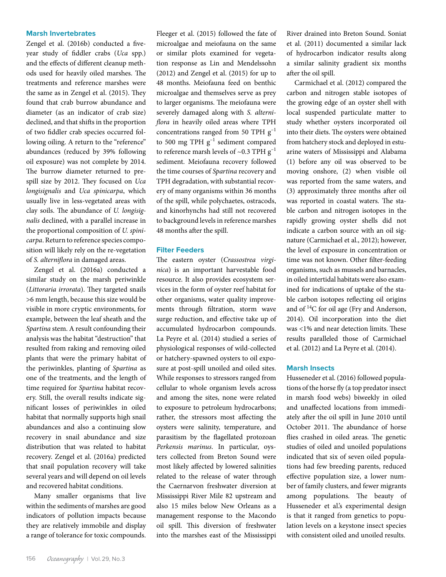#### **Marsh Invertebrates**

Zengel et al. (2016b) conducted a fiveyear study of fiddler crabs (*Uca* spp.) and the effects of different cleanup methods used for heavily oiled marshes. The treatments and reference marshes were the same as in Zengel et al. (2015). They found that crab burrow abundance and diameter (as an indicator of crab size) declined, and that shifts in the proportion of two fiddler crab species occurred following oiling. A return to the "reference" abundances (reduced by 39% following oil exposure) was not complete by 2014. The burrow diameter returned to prespill size by 2012. They focused on *Uca longisignalis* and *Uca spinicarpa*, which usually live in less-vegetated areas with clay soils. The abundance of *U. longisignalis* declined, with a parallel increase in the proportional composition of *U. spinicarpa*. Return to reference species composition will likely rely on the re-vegetation of *S. alterniflora* in damaged areas.

Zengel et al. (2016a) conducted a similar study on the marsh periwinkle (*Littoraria irrorata*). They targeted snails >6 mm length, because this size would be visible in more cryptic environments, for example, between the leaf sheath and the *Spartina* stem. A result confounding their analysis was the habitat "destruction" that resulted from raking and removing oiled plants that were the primary habitat of the periwinkles, planting of *Spartina* as one of the treatments, and the length of time required for *Spartina* habitat recovery. Still, the overall results indicate significant losses of periwinkles in oiled habitat that normally supports high snail abundances and also a continuing slow recovery in snail abundance and size distribution that was related to habitat recovery. Zengel et al. (2016a) predicted that snail population recovery will take several years and will depend on oil levels and recovered habitat conditions.

Many smaller organisms that live within the sediments of marshes are good indicators of pollution impacts because they are relatively immobile and display a range of tolerance for toxic compounds. Fleeger et al. (2015) followed the fate of microalgae and meiofauna on the same or similar plots examined for vegetation response as Lin and Mendelssohn (2012) and Zengel et al. (2015) for up to 48 months. Meiofauna feed on benthic microalgae and themselves serve as prey to larger organisms. The meiofauna were severely damaged along with *S. alterniflora* in heavily oiled areas where TPH concentrations ranged from 50 TPH  $g^{-1}$ to 500 mg TPH  $g^{-1}$  sediment compared to reference marsh levels of ~0.3 TPH  $g^{-1}$ sediment. Meiofauna recovery followed the time courses of *Spartina* recovery and TPH degradation, with substantial recovery of many organisms within 36 months of the spill, while polychaetes, ostracods, and kinorhynchs had still not recovered to background levels in reference marshes 48 months after the spill.

#### **Filter Feeders**

The eastern oyster (*Crassostrea virginica*) is an important harvestable food resource. It also provides ecosystem services in the form of oyster reef habitat for other organisms, water quality improvements through filtration, storm wave surge reduction, and effective take up of accumulated hydrocarbon compounds. La Peyre et al. (2014) studied a series of physiological responses of wild-collected or hatchery-spawned oysters to oil exposure at post-spill unoiled and oiled sites. While responses to stressors ranged from cellular to whole organism levels across and among the sites, none were related to exposure to petroleum hydrocarbons; rather, the stressors most affecting the oysters were salinity, temperature, and parasitism by the flagellated protozoan *Perkensis marinus*. In particular, oysters collected from Breton Sound were most likely affected by lowered salinities related to the release of water through the Caernarvon freshwater diversion at Mississippi River Mile 82 upstream and also 15 miles below New Orleans as a management response to the Macondo oil spill. This diversion of freshwater into the marshes east of the Mississippi

River drained into Breton Sound. Soniat et al. (2011) documented a similar lack of hydrocarbon indicator results along a similar salinity gradient six months after the oil spill.

Carmichael et al. (2012) compared the carbon and nitrogen stable isotopes of the growing edge of an oyster shell with local suspended particulate matter to study whether oysters incorporated oil into their diets. The oysters were obtained from hatchery stock and deployed in estuarine waters of Mississippi and Alabama (1) before any oil was observed to be moving onshore, (2) when visible oil was reported from the same waters, and (3) approximately three months after oil was reported in coastal waters. The stable carbon and nitrogen isotopes in the rapidly growing oyster shells did not indicate a carbon source with an oil signature (Carmichael et al., 2012); however, the level of exposure in concentration or time was not known. Other filter-feeding organisms, such as mussels and barnacles, in oiled intertidal habitats were also examined for indications of uptake of the stable carbon isotopes reflecting oil origins and of  ${}^{14}C$  for oil age (Fry and Anderson, 2014). Oil incorporation into the diet was <1% and near detection limits. These results paralleled those of Carmichael et al. (2012) and La Peyre et al. (2014).

#### **Marsh Insects**

Husseneder et al. (2016) followed populations of the horse fly (a top predator insect in marsh food webs) biweekly in oiled and unaffected locations from immediately after the oil spill in June 2010 until October 2011. The abundance of horse flies crashed in oiled areas. The genetic studies of oiled and unoiled populations indicated that six of seven oiled populations had few breeding parents, reduced effective population size, a lower number of family clusters, and fewer migrants among populations. The beauty of Husseneder et al.'s experimental design is that it ranged from genetics to population levels on a keystone insect species with consistent oiled and unoiled results.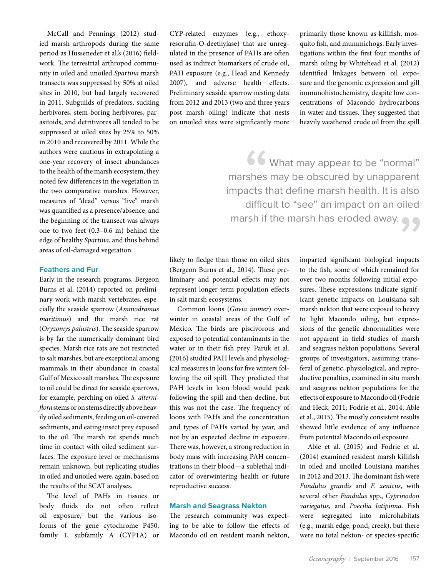McCall and Pennings (2012) studied marsh arthropods during the same period as Husseneder et al.'s (2016) fieldwork. The terrestrial arthropod community in oiled and unoiled *Spartina* marsh transects was suppressed by 50% at oiled sites in 2010, but had largely recovered in 2011. Subguilds of predators, sucking herbivores, stem-boring herbivores, parasitoids, and detritivores all tended to be suppressed at oiled sites by 25% to 50% in 2010 and recovered by 2011. While the authors were cautious in extrapolating a one-year recovery of insect abundances to the health of the marsh ecosystem, they noted few differences in the vegetation in the two comparative marshes. However, measures of "dead" versus "live" marsh was quantified as a presence/absence, and the beginning of the transect was always one to two feet (0.3–0.6 m) behind the edge of healthy *Spartina*, and thus behind areas of oil-damaged vegetation.

### **Feathers and Fur**

Early in the research programs, Bergeon Burns et al. (2014) reported on preliminary work with marsh vertebrates, especially the seaside sparrow (*Ammodramus maritimus*) and the marsh rice rat (*Oryzomys palustris*). The seaside sparrow is by far the numerically dominant bird species. Marsh rice rats are not restricted to salt marshes, but are exceptional among mammals in their abundance in coastal Gulf of Mexico salt marshes. The exposure to oil could be direct for seaside sparrows, for example, perching on oiled *S. alterniflora* stems or on stems directly above heavily oiled sediments, feeding on oil-covered sediments, and eating insect prey exposed to the oil. The marsh rat spends much time in contact with oiled sediment surfaces. The exposure level or mechanisms remain unknown, but replicating studies in oiled and unoiled were, again, based on the results of the SCAT analyses.

The level of PAHs in tissues or body fluids do not often reflect oil exposure, but the various isoforms of the gene cytochrome P450, family 1, subfamily A (CYP1A) or CYP-related enzymes (e.g., ethoxyresorufin-O-deethylase) that are unregulated in the presence of PAHs are often used as indirect biomarkers of crude oil, PAH exposure (e.g., Head and Kennedy 2007), and adverse health effects. Preliminary seaside sparrow nesting data from 2012 and 2013 (two and three years post marsh oiling) indicate that nests on unoiled sites were significantly more primarily those known as killifish, mosquito fish, and mummichogs. Early investigations within the first four months of marsh oiling by Whitehead et al. (2012) identified linkages between oil exposure and the genomic expression and gill immunohistochemistry, despite low concentrations of Macondo hydrocarbons in water and tissues. They suggested that heavily weathered crude oil from the spill

<sup>S</sup><br>
shes<br>
acts t<br>
difficu What may appear to be "normal" marshes may be obscured by unapparent impacts that define marsh health. It is also difficult to "see" an impact on an oiled marsh if the marsh has eroded away.<br>
those on oiled sites imparted significant biological impacts<br>
1., 2014). These pre- to the fish, some of which remained for

likely to fledge than those on oiled sites (Bergeon Burns et al., 2014). These preliminary and potential effects may not represent longer-term population effects in salt marsh ecosystems.

Common loons (*Gavia immer*) overwinter in coastal areas of the Gulf of Mexico. The birds are piscivorous and exposed to potential contaminants in the water or in their fish prey. Paruk et al. (2016) studied PAH levels and physiological measures in loons for five winters following the oil spill. They predicted that PAH levels in loon blood would peak following the spill and then decline, but this was not the case. The frequency of loons with PAHs and the concentration and types of PAHs varied by year, and not by an expected decline in exposure. There was, however, a strong reduction in body mass with increasing PAH concentrations in their blood—a sublethal indicator of overwintering health or future reproductive success.

#### **Marsh and Seagrass Nekton**

The research community was expecting to be able to follow the effects of Macondo oil on resident marsh nekton, imparted significant biological impacts to the fish, some of which remained for over two months following initial exposures. These expressions indicate significant genetic impacts on Louisiana salt marsh nekton that were exposed to heavy to light Macondo oiling, but expressions of the genetic abnormalities were not apparent in field studies of marsh and seagrass nekton populations. Several groups of investigators, assuming transferal of genetic, physiological, and reproductive penalties, examined in situ marsh and seagrass nekton populations for the effects of exposure to Macondo oil (Fodrie and Heck, 2011; Fodrie et al., 2014; Able et al., 2015). The mostly consistent results showed little evidence of any influence from potential Macondo oil exposure.

Able et al. (2015) and Fodrie et al. (2014) examined resident marsh killifish in oiled and unoiled Louisiana marshes in 2012 and 2013. The dominant fish were *Fundulus grandis* and *F. xenicus*, with several other *Fundulus* spp., *Cyprinodon variegatus,* and *Poecilia latipinna*. Fish were segregated into microhabitats (e.g., marsh edge, pond, creek), but there were no total nekton- or species-specific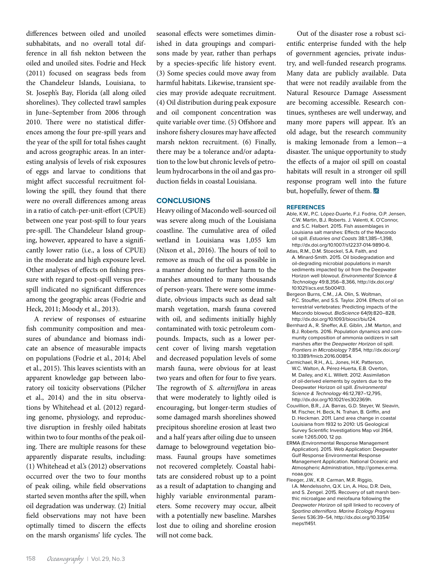differences between oiled and unoiled subhabitats, and no overall total difference in all fish nekton between the oiled and unoiled sites. Fodrie and Heck (2011) focused on seagrass beds from the Chandeleur Islands, Louisiana, to St. Joseph's Bay, Florida (all along oiled shorelines). They collected trawl samples in June–September from 2006 through 2010. There were no statistical differences among the four pre-spill years and the year of the spill for total fishes caught and across geographic areas. In an interesting analysis of levels of risk exposures of eggs and larvae to conditions that might affect successful recruitment following the spill, they found that there were no overall differences among areas in a ratio of catch-per-unit-effort (CPUE) between one year post-spill to four years pre-spill. The Chandeleur Island grouping, however, appeared to have a significantly lower ratio (i.e., a loss of CPUE) in the moderate and high exposure level. Other analyses of effects on fishing pressure with regard to post-spill versus prespill indicated no significant differences among the geographic areas (Fodrie and Heck, 2011; Moody et al., 2013).

A review of responses of estuarine fish community composition and measures of abundance and biomass indicate an absence of measurable impacts on populations (Fodrie et al., 2014; Abel et al., 2015). This leaves scientists with an apparent knowledge gap between laboratory oil toxicity observations (Pilcher et al., 2014) and the in situ observations by Whitehead et al. (2012) regarding genome, physiology, and reproductive disruption in freshly oiled habitats within two to four months of the peak oiling. There are multiple reasons for these apparently disparate results, including: (1) Whitehead et al.'s (2012) observations occurred over the two to four months of peak oiling, while field observations started seven months after the spill, when oil degradation was underway. (2) Initial field observations may not have been optimally timed to discern the effects on the marsh organisms' life cycles. The seasonal effects were sometimes diminished in data groupings and comparisons made by year, rather than perhaps by a species-specific life history event. (3) Some species could move away from harmful habitats. Likewise, transient species may provide adequate recruitment. (4) Oil distribution during peak exposure and oil component concentration was quite variable over time. (5) Offshore and inshore fishery closures may have affected marsh nekton recruitment. (6) Finally, there may be a tolerance and/or adaptation to the low but chronic levels of petroleum hydrocarbons in the oil and gas production fields in coastal Louisiana.

#### **CONCLUSIONS**

Heavy oiling of Macondo well-sourced oil was severe along much of the Louisiana coastline. The cumulative area of oiled wetland in Louisiana was 1,055 km (Nixon et al., 2016). The hours of toil to remove as much of the oil as possible in a manner doing no further harm to the marshes amounted to many thousands of person-years. There were some immediate, obvious impacts such as dead salt marsh vegetation, marsh fauna covered with oil, and sediments initially highly contaminated with toxic petroleum compounds. Impacts, such as a lower percent cover of living marsh vegetation and decreased population levels of some marsh fauna, were obvious for at least two years and often for four to five years. The regrowth of *S. alterniflora* in areas that were moderately to lightly oiled is encouraging, but longer-term studies of some damaged marsh shorelines showed precipitous shoreline erosion at least two and a half years after oiling due to unseen damage to belowground vegetation biomass. Faunal groups have sometimes not recovered completely. Coastal habitats are considered robust up to a point as a result of adaptation to changing and highly variable environmental parameters. Some recovery may occur, albeit with a potentially new baseline. Marshes lost due to oiling and shoreline erosion will not come back.

 Out of the disaster rose a robust scientific enterprise funded with the help of government agencies, private industry, and well-funded research programs. Many data are publicly available. Data that were not readily available from the Natural Resource Damage Assessment are becoming accessible. Research continues, syntheses are well underway, and many more papers will appear. It's an old adage, but the research community is making lemonade from a lemon—a disaster. The unique opportunity to study the effects of a major oil spill on coastal habitats will result in a stronger oil spill response program well into the future but, hopefully, fewer of them.

#### **REFERENCES**

- Able, K.W., P.C. López-Duarte, F.J. Fodrie, O.P. Jensen, C.W. Martin, B.J. Roberts. J. Valenti, K. O'Connor, and S.C. Halbert. 2015. Fish assemblages in Louisiana salt marshes: Effects of the Macondo oil spill. *Estuaries and Coasts* 38:1,385–1,398, <http://dx.doi.org/10.1007/s12237-014-9890-6>.
- Atlas, R.M., D.M. Stoeckel, S.A. Faith, and A. Minard-Smith. 2015. Oil biodegradation and oil-degrading microbial populations in marsh sediments impacted by oil from the Deepwater Horizon well blowout. *Environmental Science & Technology* 49:8,356–8,366, [http://dx.doi.org/](http://dx.doi.org/10.1021/acs.est.5b00413) [10.1021/acs.est.5b00413](http://dx.doi.org/10.1021/acs.est.5b00413).
- Bergeon Burns, C.M., J.A. Olin, S. Woltman, P.C. Stouffer, and S.S. Taylor. 2014. Effects of oil on terrestrial vertebrates: Predicting impacts of the Macondo blowout. *BioScience* 64(9):820–828, <http://dx.doi.org/10.1093/biosci/biu124>.
- Bernhard A., R. Sheffer, A.E. Giblin, J.M. Marton, and B.J. Roberts. 2016. Population dynamics and community composition of ammonia oxidizers in salt marshes after the *Deepwater Horizon* oil spill. *Frontiers in Microbiology* 7:854, [http://dx.doi.org/](http://dx.doi.org/10.3389/fmicb.2016.00854) [10.3389/fmicb.2016.00854](http://dx.doi.org/10.3389/fmicb.2016.00854).
- Carmichael, R.H., A.L. Jones, H.K. Patterson, W.C. Walton, A. Pérez-Huerta, E.B. Overton, M. Dailey, and K.L. Willett. 2012. Assimilation of oil-derived elements by oysters due to the Deepwater Horizon oil spill. *Environmental Science & Technology* 46:12,787–12,795, <http://dx.doi.org/10.1021/es302369h>.
- Couvillion, B.R., J.A. Barras, G.D. Steyer, W. Sleavin, M. Fischer, H. Beck, N. Trahan, B. Griffin, and D. Heckman. 2011. Land area change in coastal Louisiana from 1932 to 2010: US Geological Survey Scientific Investigations Map vol 3164, scale 1:265,000, 12 pp.
- ERMA (Environmental Response Management Application). 2015. Web Application: Deepwater Gulf Response Environmental Response Management Application. National Oceanic and Atmospheric Administration, [http://gomex.erma.](http://gomex.erma.noaa.gov/) [noaa.gov.](http://gomex.erma.noaa.gov/)
- Fleeger, J.W., K.R. Carman, M.R. Riggio, I.A. Mendelssohn, Q.X. Lin, A. Hou, D.R. Deis, and S. Zengel. 2015. Recovery of salt marsh benthic microalgae and meiofauna following the *Deepwater Horizon* oil spill linked to recovery of *Spartina alterniflora*. *Marine Ecology Progress Series* 536:39–54, [http://dx.doi.org/10.3354/](http://dx.doi.org/10.3354/meps11451) [meps11451.](http://dx.doi.org/10.3354/meps11451)